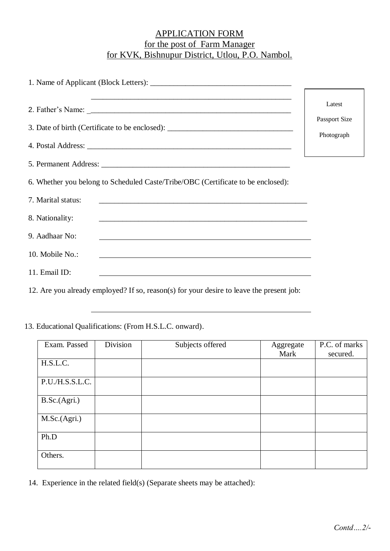## APPLICATION FORM for the post of Farm Manager for KVK, Bishnupur District, Utlou, P.O. Nambol.

| 3. Date of birth (Certificate to be enclosed): _________________________________                                                         | Latest<br>Passport Size<br>Photograph |
|------------------------------------------------------------------------------------------------------------------------------------------|---------------------------------------|
|                                                                                                                                          |                                       |
| 6. Whether you belong to Scheduled Caste/Tribe/OBC (Certificate to be enclosed):                                                         |                                       |
| 7. Marital status:                                                                                                                       |                                       |
| 8. Nationality:                                                                                                                          |                                       |
| 9. Aadhaar No:<br><u> 1989 - Johann Stoff, deutscher Stoffen und der Stoffen und der Stoffen und der Stoffen und der Stoffen und der</u> |                                       |
| 10. Mobile No.:<br>,我们也不会有什么。""我们的人,我们也不会有什么?""我们的人,我们也不会有什么?""我们的人,我们也不会有什么?""我们的人,我们也不会有什么?""我们的人                                      |                                       |
| 11. Email ID:<br>and the control of the control of the control of the control of the control of the control of the control of the        |                                       |
|                                                                                                                                          |                                       |

12. Are you already employed? If so, reason(s) for your desire to leave the present job:

13. Educational Qualifications: (From H.S.L.C. onward).

| Exam. Passed    | Division | Subjects offered | Aggregate<br>Mark | P.C. of marks<br>secured. |
|-----------------|----------|------------------|-------------------|---------------------------|
| H.S.L.C.        |          |                  |                   |                           |
| P.U./H.S.S.L.C. |          |                  |                   |                           |
| B.Sc.(Agri.)    |          |                  |                   |                           |
| M.Sc.(Agri.)    |          |                  |                   |                           |
| Ph.D            |          |                  |                   |                           |
| Others.         |          |                  |                   |                           |

14. Experience in the related field(s) (Separate sheets may be attached):